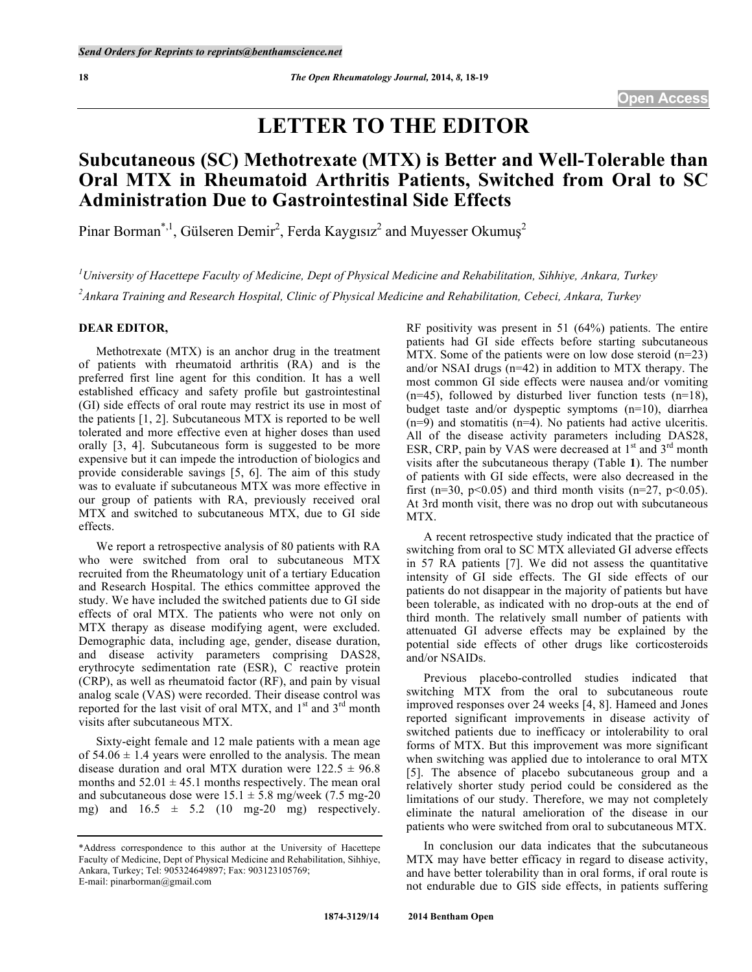# **LETTER TO THE EDITOR**

## **Subcutaneous (SC) Methotrexate (MTX) is Better and Well-Tolerable than Oral MTX in Rheumatoid Arthritis Patients, Switched from Oral to SC Administration Due to Gastrointestinal Side Effects**

Pinar Borman\*,<sup>1</sup>, Gülseren Demir<sup>2</sup>, Ferda Kaygısız<sup>2</sup> and Muyesser Okumuş<sup>2</sup>

*1 University of Hacettepe Faculty of Medicine, Dept of Physical Medicine and Rehabilitation, Sihhiye, Ankara, Turkey 2 Ankara Training and Research Hospital, Clinic of Physical Medicine and Rehabilitation, Cebeci, Ankara, Turkey*

#### **DEAR EDITOR,**

Methotrexate (MTX) is an anchor drug in the treatment of patients with rheumatoid arthritis (RA) and is the preferred first line agent for this condition. It has a well established efficacy and safety profile but gastrointestinal (GI) side effects of oral route may restrict its use in most of the patients [1, 2]. Subcutaneous MTX is reported to be well tolerated and more effective even at higher doses than used orally [3, 4]. Subcutaneous form is suggested to be more expensive but it can impede the introduction of biologics and provide considerable savings [5, 6]. The aim of this study was to evaluate if subcutaneous MTX was more effective in our group of patients with RA, previously received oral MTX and switched to subcutaneous MTX, due to GI side effects.

We report a retrospective analysis of 80 patients with RA who were switched from oral to subcutaneous MTX recruited from the Rheumatology unit of a tertiary Education and Research Hospital. The ethics committee approved the study. We have included the switched patients due to GI side effects of oral MTX. The patients who were not only on MTX therapy as disease modifying agent, were excluded. Demographic data, including age, gender, disease duration, and disease activity parameters comprising DAS28, erythrocyte sedimentation rate (ESR), C reactive protein (CRP), as well as rheumatoid factor (RF), and pain by visual analog scale (VAS) were recorded. Their disease control was reported for the last visit of oral MTX, and 1<sup>st</sup> and 3<sup>rd</sup> month visits after subcutaneous MTX.

Sixty-eight female and 12 male patients with a mean age of  $54.06 \pm 1.4$  years were enrolled to the analysis. The mean disease duration and oral MTX duration were  $122.5 \pm 96.8$ months and  $52.01 \pm 45.1$  months respectively. The mean oral and subcutaneous dose were  $15.1 \pm 5.8$  mg/week (7.5 mg-20) mg) and  $16.5 \pm 5.2$  (10 mg-20 mg) respectively. RF positivity was present in 51 (64%) patients. The entire patients had GI side effects before starting subcutaneous MTX. Some of the patients were on low dose steroid (n=23) and/or NSAI drugs (n=42) in addition to MTX therapy. The most common GI side effects were nausea and/or vomiting  $(n=45)$ , followed by disturbed liver function tests  $(n=18)$ , budget taste and/or dyspeptic symptoms (n=10), diarrhea (n=9) and stomatitis (n=4). No patients had active ulceritis. All of the disease activity parameters including DAS28, ESR, CRP, pain by VAS were decreased at  $1<sup>st</sup>$  and  $3<sup>rd</sup>$  month visits after the subcutaneous therapy (Table **1**). The number of patients with GI side effects, were also decreased in the first (n=30, p<0.05) and third month visits (n=27, p<0.05). At 3rd month visit, there was no drop out with subcutaneous MTX.

A recent retrospective study indicated that the practice of switching from oral to SC MTX alleviated GI adverse effects in 57 RA patients [7]. We did not assess the quantitative intensity of GI side effects. The GI side effects of our patients do not disappear in the majority of patients but have been tolerable, as indicated with no drop-outs at the end of third month. The relatively small number of patients with attenuated GI adverse effects may be explained by the potential side effects of other drugs like corticosteroids and/or NSAIDs.

Previous placebo-controlled studies indicated that switching MTX from the oral to subcutaneous route improved responses over 24 weeks [4, 8]. Hameed and Jones reported significant improvements in disease activity of switched patients due to inefficacy or intolerability to oral forms of MTX. But this improvement was more significant when switching was applied due to intolerance to oral MTX [5]. The absence of placebo subcutaneous group and a relatively shorter study period could be considered as the limitations of our study. Therefore, we may not completely eliminate the natural amelioration of the disease in our patients who were switched from oral to subcutaneous MTX.

In conclusion our data indicates that the subcutaneous MTX may have better efficacy in regard to disease activity, and have better tolerability than in oral forms, if oral route is not endurable due to GIS side effects, in patients suffering

<sup>\*</sup>Address correspondence to this author at the University of Hacettepe Faculty of Medicine, Dept of Physical Medicine and Rehabilitation, Sihhiye, Ankara, Turkey; Tel: 905324649897; Fax: 903123105769; E-mail: pinarborman@gmail.com